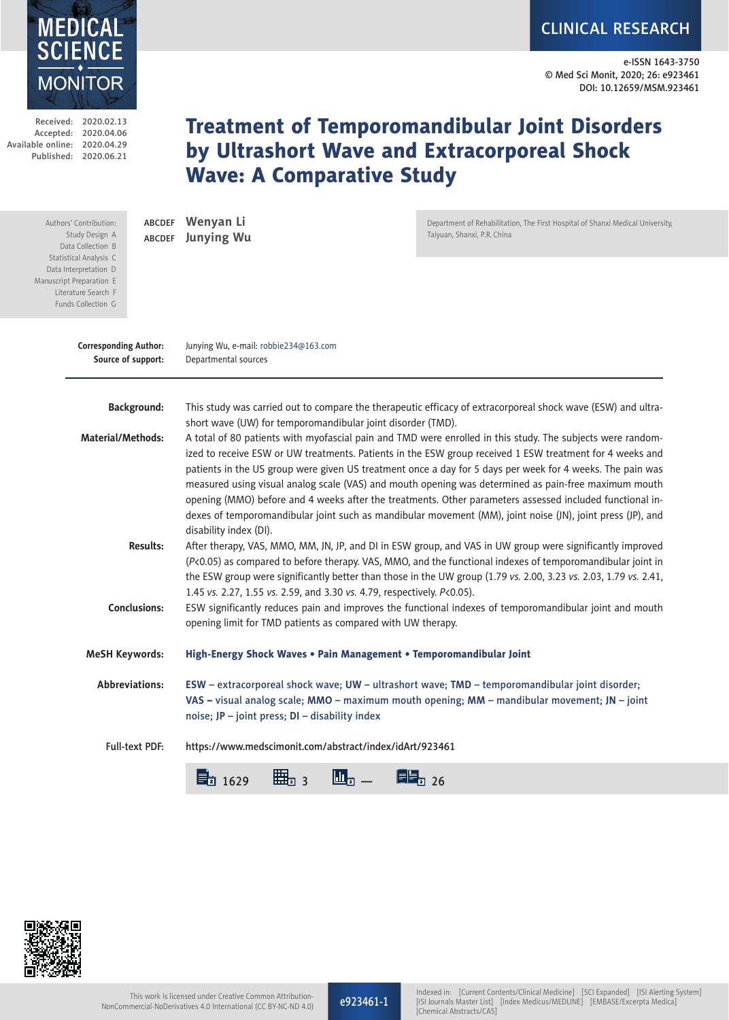

CLINICAL RESEARCH

e-ISSN 1643-3750 © Med Sci Monit, 2020; 26: e923461 DOI: 10.12659/MSM.923461

Received: 2020.02.13 Accepted: 2020.04.06 Available online: 2020.04.29 Published: 2020.06.21

Manuscrip Lite Fun

# Treatment of Temporomandibular Joint Disorders by Ultrashort Wave and Extracorporeal Shock Wave: A Comparative Study

| Authors' Contribution:<br>Study Design A<br>Data Collection B<br>Statistical Analysis C<br>Data Interpretation D<br>nuscript Preparation E<br>Literature Search F<br>Funds Collection G | ABCDEF<br>ABCDEF                                                                                                                                                                                                                                                   | Wenyan Li<br><b>Junying Wu</b>                                                                                                                                                                                                                                                                                                                                                                                                                                                                                                                                                                                                                                                                                                                                 | Department of Rehabilitation, The First Hospital of Shanxi Medical University,<br>Taiyuan, Shanxi, P.R. China |  |
|-----------------------------------------------------------------------------------------------------------------------------------------------------------------------------------------|--------------------------------------------------------------------------------------------------------------------------------------------------------------------------------------------------------------------------------------------------------------------|----------------------------------------------------------------------------------------------------------------------------------------------------------------------------------------------------------------------------------------------------------------------------------------------------------------------------------------------------------------------------------------------------------------------------------------------------------------------------------------------------------------------------------------------------------------------------------------------------------------------------------------------------------------------------------------------------------------------------------------------------------------|---------------------------------------------------------------------------------------------------------------|--|
| <b>Corresponding Author:</b>                                                                                                                                                            | Source of support:                                                                                                                                                                                                                                                 | Junying Wu, e-mail: robbie234@163.com<br>Departmental sources                                                                                                                                                                                                                                                                                                                                                                                                                                                                                                                                                                                                                                                                                                  |                                                                                                               |  |
|                                                                                                                                                                                         | <b>Background:</b>                                                                                                                                                                                                                                                 |                                                                                                                                                                                                                                                                                                                                                                                                                                                                                                                                                                                                                                                                                                                                                                | This study was carried out to compare the therapeutic efficacy of extracorporeal shock wave (ESW) and ultra-  |  |
| <b>Material/Methods:</b>                                                                                                                                                                |                                                                                                                                                                                                                                                                    | short wave (UW) for temporomandibular joint disorder (TMD).<br>A total of 80 patients with myofascial pain and TMD were enrolled in this study. The subjects were random-<br>ized to receive ESW or UW treatments. Patients in the ESW group received 1 ESW treatment for 4 weeks and<br>patients in the US group were given US treatment once a day for 5 days per week for 4 weeks. The pain was<br>measured using visual analog scale (VAS) and mouth opening was determined as pain-free maximum mouth<br>opening (MMO) before and 4 weeks after the treatments. Other parameters assessed included functional in-<br>dexes of temporomandibular joint such as mandibular movement (MM), joint noise (JN), joint press (JP), and<br>disability index (DI). |                                                                                                               |  |
| <b>Results:</b>                                                                                                                                                                         |                                                                                                                                                                                                                                                                    | After therapy, VAS, MMO, MM, JN, JP, and DI in ESW group, and VAS in UW group were significantly improved<br>(P<0.05) as compared to before therapy. VAS, MMO, and the functional indexes of temporomandibular joint in<br>the ESW group were significantly better than those in the UW group (1.79 vs. 2.00, 3.23 vs. 2.03, 1.79 vs. 2.41,<br>1.45 vs. 2.27, 1.55 vs. 2.59, and 3.30 vs. 4.79, respectively. P<0.05).                                                                                                                                                                                                                                                                                                                                         |                                                                                                               |  |
| <b>Conclusions:</b>                                                                                                                                                                     |                                                                                                                                                                                                                                                                    | ESW significantly reduces pain and improves the functional indexes of temporomandibular joint and mouth<br>opening limit for TMD patients as compared with UW therapy.                                                                                                                                                                                                                                                                                                                                                                                                                                                                                                                                                                                         |                                                                                                               |  |
| <b>MeSH Keywords:</b><br>High-Energy Shock Waves . Pain Management . Temporomandibular Joint                                                                                            |                                                                                                                                                                                                                                                                    |                                                                                                                                                                                                                                                                                                                                                                                                                                                                                                                                                                                                                                                                                                                                                                |                                                                                                               |  |
|                                                                                                                                                                                         | Abbreviations:<br>ESW - extracorporeal shock wave; UW - ultrashort wave; TMD - temporomandibular joint disorder;<br>VAS - visual analog scale; MMO - maximum mouth opening; MM - mandibular movement; JN - joint<br>noise; JP - joint press; DI - disability index |                                                                                                                                                                                                                                                                                                                                                                                                                                                                                                                                                                                                                                                                                                                                                                |                                                                                                               |  |
| <b>Full-text PDF:</b>                                                                                                                                                                   |                                                                                                                                                                                                                                                                    | https://www.medscimonit.com/abstract/index/idArt/923461                                                                                                                                                                                                                                                                                                                                                                                                                                                                                                                                                                                                                                                                                                        |                                                                                                               |  |
|                                                                                                                                                                                         |                                                                                                                                                                                                                                                                    | 曲"<br>$\Xi_2$ 1629<br>$\mathbf{L}_n$                                                                                                                                                                                                                                                                                                                                                                                                                                                                                                                                                                                                                                                                                                                           | 目記 26                                                                                                         |  |



e923461-1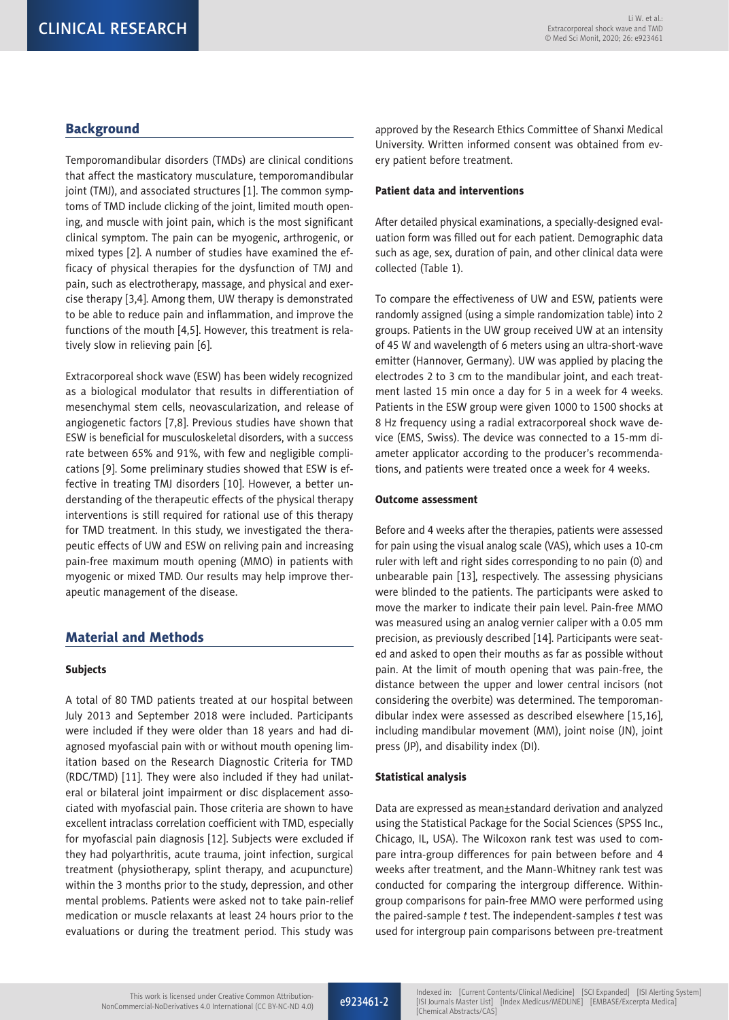## **Background**

Temporomandibular disorders (TMDs) are clinical conditions that affect the masticatory musculature, temporomandibular joint (TMJ), and associated structures [1]. The common symptoms of TMD include clicking of the joint, limited mouth opening, and muscle with joint pain, which is the most significant clinical symptom. The pain can be myogenic, arthrogenic, or mixed types [2]. A number of studies have examined the efficacy of physical therapies for the dysfunction of TMJ and pain, such as electrotherapy, massage, and physical and exercise therapy [3,4]. Among them, UW therapy is demonstrated to be able to reduce pain and inflammation, and improve the functions of the mouth [4,5]. However, this treatment is relatively slow in relieving pain [6].

Extracorporeal shock wave (ESW) has been widely recognized as a biological modulator that results in differentiation of mesenchymal stem cells, neovascularization, and release of angiogenetic factors [7,8]. Previous studies have shown that ESW is beneficial for musculoskeletal disorders, with a success rate between 65% and 91%, with few and negligible complications [9]. Some preliminary studies showed that ESW is effective in treating TMJ disorders [10]. However, a better understanding of the therapeutic effects of the physical therapy interventions is still required for rational use of this therapy for TMD treatment. In this study, we investigated the therapeutic effects of UW and ESW on reliving pain and increasing pain-free maximum mouth opening (MMO) in patients with myogenic or mixed TMD. Our results may help improve therapeutic management of the disease.

## Material and Methods

## Subjects

A total of 80 TMD patients treated at our hospital between July 2013 and September 2018 were included. Participants were included if they were older than 18 years and had diagnosed myofascial pain with or without mouth opening limitation based on the Research Diagnostic Criteria for TMD (RDC/TMD) [11]. They were also included if they had unilateral or bilateral joint impairment or disc displacement associated with myofascial pain. Those criteria are shown to have excellent intraclass correlation coefficient with TMD, especially for myofascial pain diagnosis [12]. Subjects were excluded if they had polyarthritis, acute trauma, joint infection, surgical treatment (physiotherapy, splint therapy, and acupuncture) within the 3 months prior to the study, depression, and other mental problems. Patients were asked not to take pain-relief medication or muscle relaxants at least 24 hours prior to the evaluations or during the treatment period. This study was approved by the Research Ethics Committee of Shanxi Medical University. Written informed consent was obtained from every patient before treatment.

#### Patient data and interventions

After detailed physical examinations, a specially-designed evaluation form was filled out for each patient. Demographic data such as age, sex, duration of pain, and other clinical data were collected (Table 1).

To compare the effectiveness of UW and ESW, patients were randomly assigned (using a simple randomization table) into 2 groups. Patients in the UW group received UW at an intensity of 45 W and wavelength of 6 meters using an ultra-short-wave emitter (Hannover, Germany). UW was applied by placing the electrodes 2 to 3 cm to the mandibular joint, and each treatment lasted 15 min once a day for 5 in a week for 4 weeks. Patients in the ESW group were given 1000 to 1500 shocks at 8 Hz frequency using a radial extracorporeal shock wave device (EMS, Swiss). The device was connected to a 15-mm diameter applicator according to the producer's recommendations, and patients were treated once a week for 4 weeks.

#### Outcome assessment

Before and 4 weeks after the therapies, patients were assessed for pain using the visual analog scale (VAS), which uses a 10-cm ruler with left and right sides corresponding to no pain (0) and unbearable pain [13], respectively. The assessing physicians were blinded to the patients. The participants were asked to move the marker to indicate their pain level. Pain-free MMO was measured using an analog vernier caliper with a 0.05 mm precision, as previously described [14]. Participants were seated and asked to open their mouths as far as possible without pain. At the limit of mouth opening that was pain-free, the distance between the upper and lower central incisors (not considering the overbite) was determined. The temporomandibular index were assessed as described elsewhere [15,16], including mandibular movement (MM), joint noise (JN), joint press (JP), and disability index (DI).

#### Statistical analysis

Data are expressed as mean±standard derivation and analyzed using the Statistical Package for the Social Sciences (SPSS Inc., Chicago, IL, USA). The Wilcoxon rank test was used to compare intra-group differences for pain between before and 4 weeks after treatment, and the Mann-Whitney rank test was conducted for comparing the intergroup difference. Withingroup comparisons for pain-free MMO were performed using the paired-sample *t* test. The independent-samples *t* test was used for intergroup pain comparisons between pre-treatment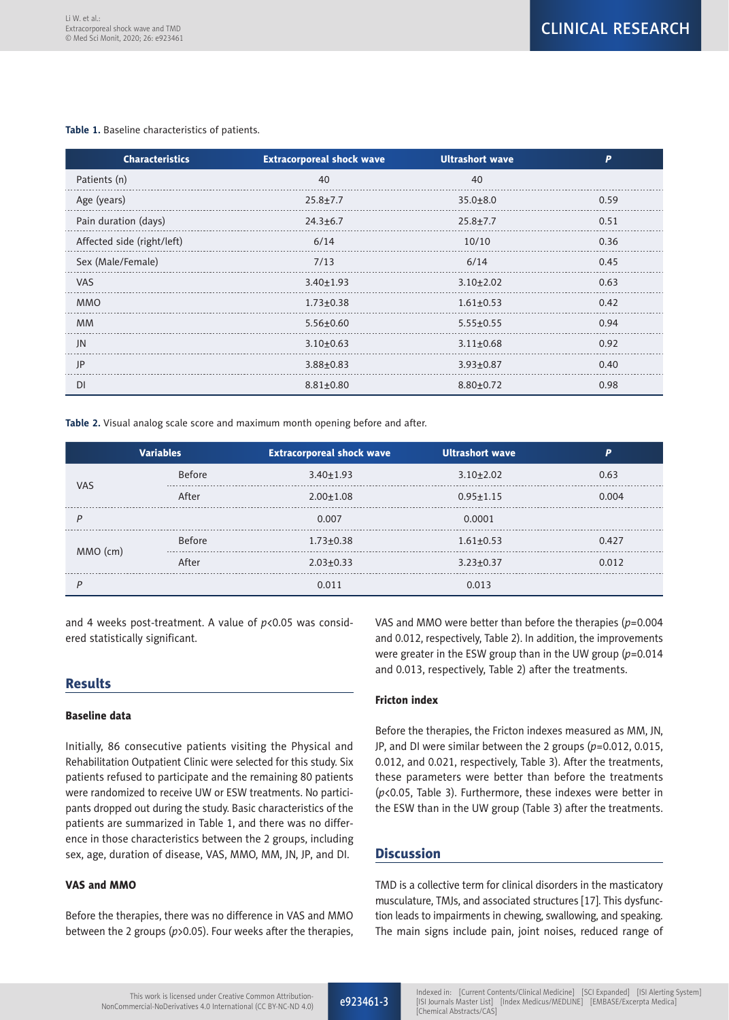#### **Table 1.** Baseline characteristics of patients.

| <b>Characteristics</b>     | <b>Extracorporeal shock wave</b> | <b>Ultrashort wave</b> | P    |
|----------------------------|----------------------------------|------------------------|------|
| Patients (n)               | 40                               | 40                     |      |
| Age (years)                | $25.8 + 7.7$                     | $35.0 + 8.0$           | 0.59 |
| Pain duration (days)       | $24.3 \pm 6.7$                   | $25.8 + 7.7$           | 0.51 |
| Affected side (right/left) | 6/14                             | 10/10                  | 0.36 |
| Sex (Male/Female)          | 7/13                             | 6/14                   | 0.45 |
| <b>VAS</b>                 | $3.40 \pm 1.93$                  | $3.10 + 2.02$          | 0.63 |
| <b>MMO</b>                 | $1.73 + 0.38$                    | $1.61 \pm 0.53$        | 0.42 |
| <b>MM</b>                  | $5.56 \pm 0.60$                  | $5.55 \pm 0.55$        | 0.94 |
| JN                         | $3.10+0.63$                      | $3.11 \pm 0.68$        | 0.92 |
| IP                         | $3.88 + 0.83$                    | $3.93 \pm 0.87$        | 0.40 |
| DI                         | $8.81 + 0.80$                    | $8.80 + 0.72$          | 0.98 |

**Table 2.** Visual analog scale score and maximum month opening before and after.

| <b>Variables</b> |               | <b>Extracorporeal shock wave</b> | <b>Ultrashort wave</b> |       |
|------------------|---------------|----------------------------------|------------------------|-------|
| <b>VAS</b>       | <b>Before</b> | $3.40 \pm 1.93$                  | $3.10 \pm 2.02$        | 0.63  |
|                  | After         | $2.00 \pm 1.08$                  | $0.95 \pm 1.15$        | 0.004 |
|                  |               | 0.007                            | 0.0001                 |       |
|                  | <b>Before</b> | $1.73 \pm 0.38$                  | $1.61 \pm 0.53$        | 0.427 |
| MMO (cm)         | After         | $2.03 \pm 0.33$                  | $3.23 \pm 0.37$        | 0.012 |
|                  |               | 0.011                            | 0.013                  |       |

and 4 weeks post-treatment. A value of *p*<0.05 was considered statistically significant.

## **Results**

## Baseline data

Initially, 86 consecutive patients visiting the Physical and Rehabilitation Outpatient Clinic were selected for this study. Six patients refused to participate and the remaining 80 patients were randomized to receive UW or ESW treatments. No participants dropped out during the study. Basic characteristics of the patients are summarized in Table 1, and there was no difference in those characteristics between the 2 groups, including sex, age, duration of disease, VAS, MMO, MM, JN, JP, and DI.

## VAS and MMO

Before the therapies, there was no difference in VAS and MMO between the 2 groups (*p*>0.05). Four weeks after the therapies, VAS and MMO were better than before the therapies (*p*=0.004 and 0.012, respectively, Table 2). In addition, the improvements were greater in the ESW group than in the UW group (*p*=0.014 and 0.013, respectively, Table 2) after the treatments.

## Fricton index

Before the therapies, the Fricton indexes measured as MM, JN, JP, and DI were similar between the 2 groups (*p*=0.012, 0.015, 0.012, and 0.021, respectively, Table 3). After the treatments, these parameters were better than before the treatments (*p*<0.05, Table 3). Furthermore, these indexes were better in the ESW than in the UW group (Table 3) after the treatments.

# **Discussion**

TMD is a collective term for clinical disorders in the masticatory musculature, TMJs, and associated structures [17]. This dysfunction leads to impairments in chewing, swallowing, and speaking. The main signs include pain, joint noises, reduced range of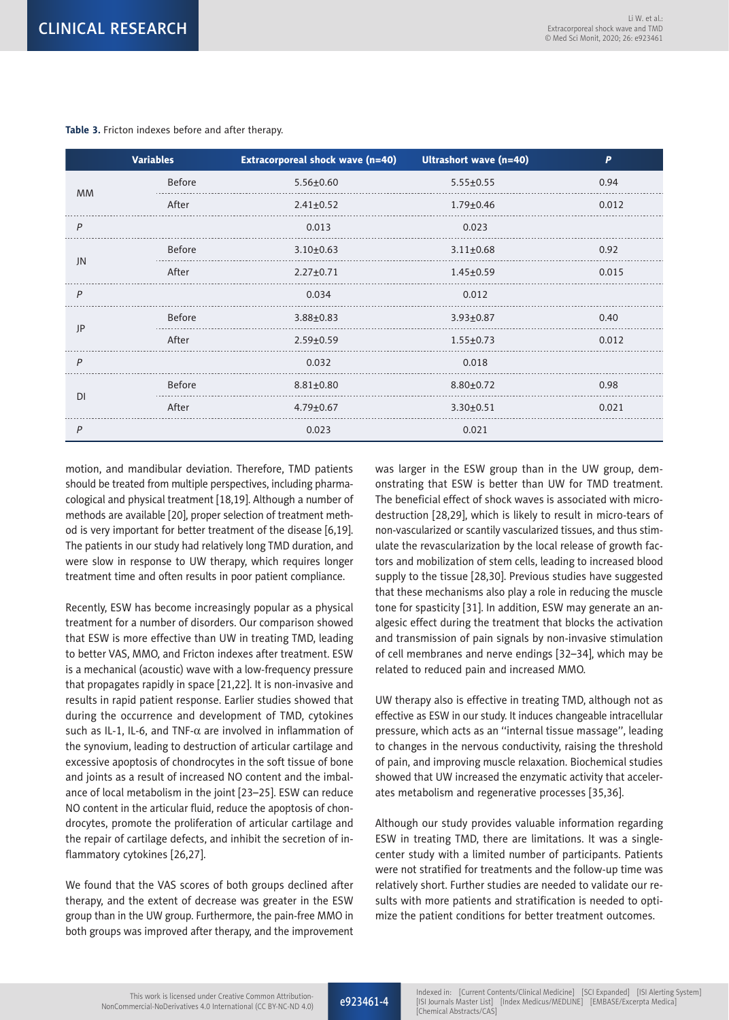| <b>Variables</b> |               | <b>Extracorporeal shock wave (n=40)</b> | Ultrashort wave (n=40) | P     |
|------------------|---------------|-----------------------------------------|------------------------|-------|
| <b>MM</b>        | Before        | $5.56 \pm 0.60$                         | $5.55 \pm 0.55$        | 0.94  |
|                  | After         | $2.41 \pm 0.52$                         | $1.79 + 0.46$          | 0.012 |
| P                |               | 0.013                                   | 0.023                  |       |
| JN               | <b>Before</b> | $3.10 \pm 0.63$                         | $3.11 \pm 0.68$        | 0.92  |
|                  | After         | $2.27 + 0.71$                           | $1.45 \pm 0.59$        | 0.015 |
| P                |               | 0.034                                   | 0.012                  |       |
| JP               | <b>Before</b> | $3.88 \pm 0.83$                         | $3.93 \pm 0.87$        | 0.40  |
|                  | After         | $2.59 + 0.59$                           | $1.55 \pm 0.73$        | 0.012 |
| $\overline{P}$   |               | 0.032                                   | 0.018                  |       |
| DI               | Before        | $8.81 \pm 0.80$                         | $8.80 \pm 0.72$        | 0.98  |
|                  | After         | $4.79 \pm 0.67$                         | $3.30 \pm 0.51$        | 0.021 |
| P                |               | 0.023                                   | 0.021                  |       |

#### **Table 3.** Fricton indexes before and after therapy.

motion, and mandibular deviation. Therefore, TMD patients should be treated from multiple perspectives, including pharmacological and physical treatment [18,19]. Although a number of methods are available [20], proper selection of treatment method is very important for better treatment of the disease [6,19]. The patients in our study had relatively long TMD duration, and were slow in response to UW therapy, which requires longer treatment time and often results in poor patient compliance.

Recently, ESW has become increasingly popular as a physical treatment for a number of disorders. Our comparison showed that ESW is more effective than UW in treating TMD, leading to better VAS, MMO, and Fricton indexes after treatment. ESW is a mechanical (acoustic) wave with a low-frequency pressure that propagates rapidly in space [21,22]. It is non-invasive and results in rapid patient response. Earlier studies showed that during the occurrence and development of TMD, cytokines such as IL-1, IL-6, and TNF- $\alpha$  are involved in inflammation of the synovium, leading to destruction of articular cartilage and excessive apoptosis of chondrocytes in the soft tissue of bone and joints as a result of increased NO content and the imbalance of local metabolism in the joint [23–25]. ESW can reduce NO content in the articular fluid, reduce the apoptosis of chondrocytes, promote the proliferation of articular cartilage and the repair of cartilage defects, and inhibit the secretion of inflammatory cytokines [26,27].

We found that the VAS scores of both groups declined after therapy, and the extent of decrease was greater in the ESW group than in the UW group. Furthermore, the pain-free MMO in both groups was improved after therapy, and the improvement was larger in the ESW group than in the UW group, demonstrating that ESW is better than UW for TMD treatment. The beneficial effect of shock waves is associated with microdestruction [28,29], which is likely to result in micro-tears of non-vascularized or scantily vascularized tissues, and thus stimulate the revascularization by the local release of growth factors and mobilization of stem cells, leading to increased blood supply to the tissue [28,30]. Previous studies have suggested that these mechanisms also play a role in reducing the muscle tone for spasticity [31]. In addition, ESW may generate an analgesic effect during the treatment that blocks the activation and transmission of pain signals by non-invasive stimulation of cell membranes and nerve endings [32–34], which may be related to reduced pain and increased MMO.

UW therapy also is effective in treating TMD, although not as effective as ESW in our study. It induces changeable intracellular pressure, which acts as an ''internal tissue massage'', leading to changes in the nervous conductivity, raising the threshold of pain, and improving muscle relaxation. Biochemical studies showed that UW increased the enzymatic activity that accelerates metabolism and regenerative processes [35,36].

Although our study provides valuable information regarding ESW in treating TMD, there are limitations. It was a singlecenter study with a limited number of participants. Patients were not stratified for treatments and the follow-up time was relatively short. Further studies are needed to validate our results with more patients and stratification is needed to optimize the patient conditions for better treatment outcomes.

e923461-4